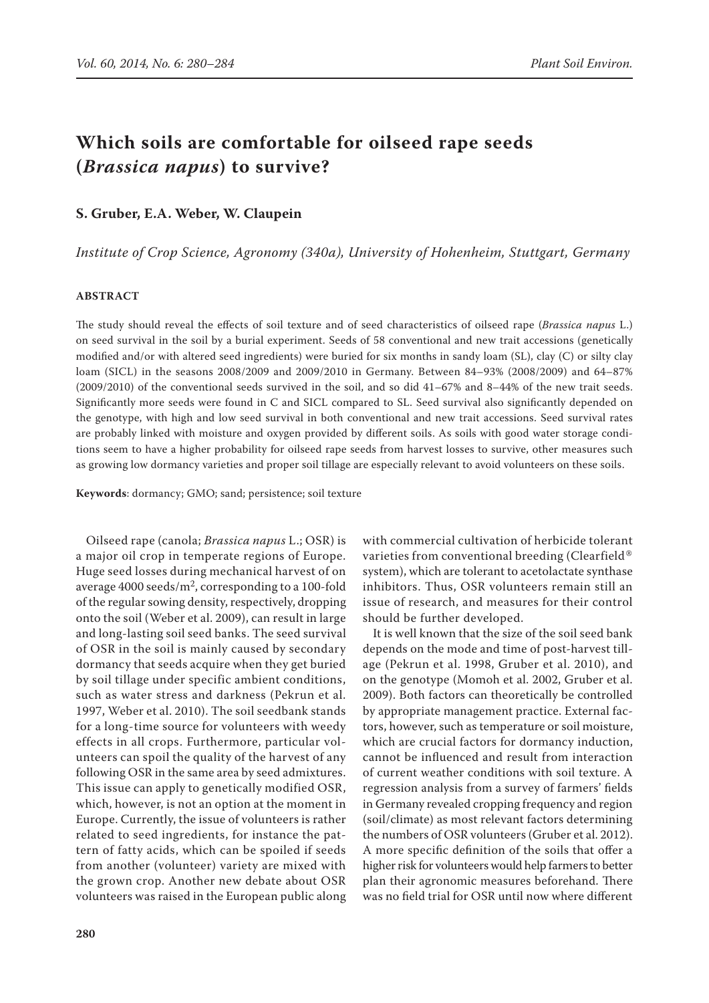# **Which soils are comfortable for oilseed rape seeds (***Brassica napus***) to survive?**

## **S. Gruber, E.A. Weber, W. Claupein**

*Institute of Crop Science, Agronomy (340a), University of Hohenheim, Stuttgart, Germany*

## **ABSTRACT**

The study should reveal the effects of soil texture and of seed characteristics of oilseed rape (*Brassica napus* L.) on seed survival in the soil by a burial experiment. Seeds of 58 conventional and new trait accessions (genetically modified and/or with altered seed ingredients) were buried for six months in sandy loam (SL), clay (C) or silty clay loam (SICL) in the seasons 2008/2009 and 2009/2010 in Germany. Between 84–93% (2008/2009) and 64–87% (2009/2010) of the conventional seeds survived in the soil, and so did 41–67% and 8–44% of the new trait seeds. Significantly more seeds were found in C and SICL compared to SL. Seed survival also significantly depended on the genotype, with high and low seed survival in both conventional and new trait accessions. Seed survival rates are probably linked with moisture and oxygen provided by different soils. As soils with good water storage conditions seem to have a higher probability for oilseed rape seeds from harvest losses to survive, other measures such as growing low dormancy varieties and proper soil tillage are especially relevant to avoid volunteers on these soils.

**Keywords**: dormancy; GMO; sand; persistence; soil texture

Oilseed rape (canola; *Brassica napus* L.; OSR) is a major oil crop in temperate regions of Europe. Huge seed losses during mechanical harvest of on average  $4000$  seeds/m<sup>2</sup>, corresponding to a 100-fold of the regular sowing density, respectively, dropping onto the soil (Weber et al. 2009), can result in large and long-lasting soil seed banks. The seed survival of OSR in the soil is mainly caused by secondary dormancy that seeds acquire when they get buried by soil tillage under specific ambient conditions, such as water stress and darkness (Pekrun et al. 1997, Weber et al. 2010). The soil seedbank stands for a long-time source for volunteers with weedy effects in all crops. Furthermore, particular volunteers can spoil the quality of the harvest of any following OSR in the same area by seed admixtures. This issue can apply to genetically modified OSR, which, however, is not an option at the moment in Europe. Currently, the issue of volunteers is rather related to seed ingredients, for instance the pattern of fatty acids, which can be spoiled if seeds from another (volunteer) variety are mixed with the grown crop. Another new debate about OSR volunteers was raised in the European public along with commercial cultivation of herbicide tolerant varieties from conventional breeding (Clearfield® system), which are tolerant to acetolactate synthase inhibitors. Thus, OSR volunteers remain still an issue of research, and measures for their control should be further developed.

It is well known that the size of the soil seed bank depends on the mode and time of post-harvest tillage (Pekrun et al. 1998, Gruber et al. 2010), and on the genotype (Momoh et al. 2002, Gruber et al. 2009). Both factors can theoretically be controlled by appropriate management practice. External factors, however, such as temperature or soil moisture, which are crucial factors for dormancy induction, cannot be influenced and result from interaction of current weather conditions with soil texture. A regression analysis from a survey of farmers' fields in Germany revealed cropping frequency and region (soil/climate) as most relevant factors determining the numbers of OSR volunteers (Gruber et al. 2012). A more specific definition of the soils that offer a higher risk for volunteers would help farmers to better plan their agronomic measures beforehand. There was no field trial for OSR until now where different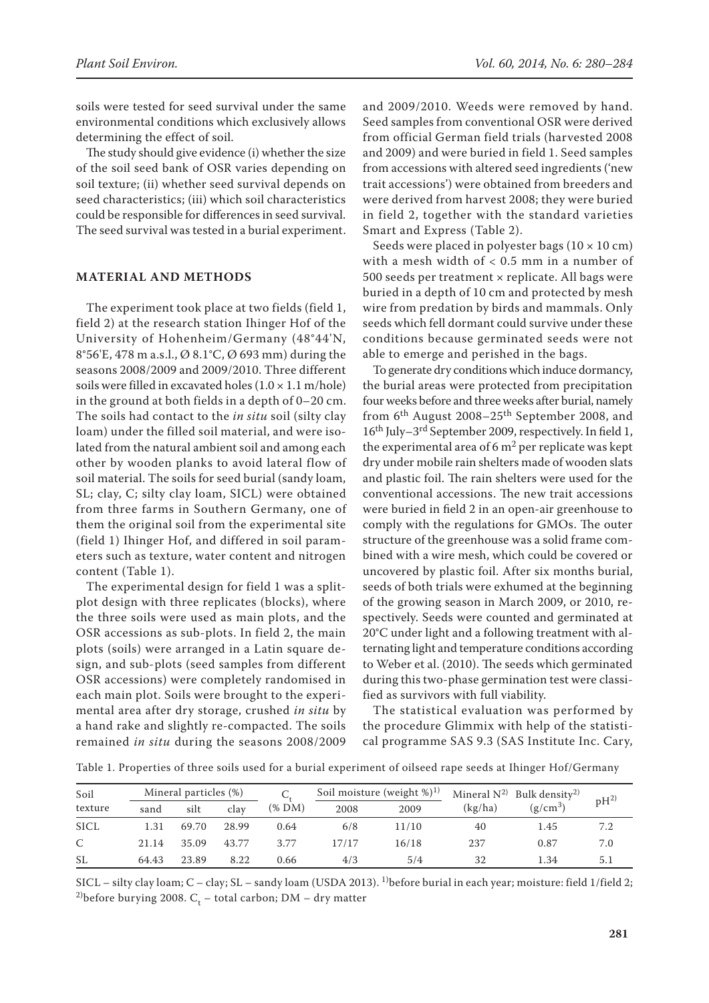soils were tested for seed survival under the same environmental conditions which exclusively allows determining the effect of soil.

The study should give evidence (i) whether the size of the soil seed bank of OSR varies depending on soil texture; (ii) whether seed survival depends on seed characteristics; (iii) which soil characteristics could be responsible for differences in seed survival. The seed survival was tested in a burial experiment.

#### **MATERIAL AND METHODS**

The experiment took place at two fields (field 1, field 2) at the research station Ihinger Hof of the University of Hohenheim/Germany (48°44'N, 8°56'E, 478 m a.s.l., Ø 8.1°C, Ø 693 mm) during the seasons 2008/2009 and 2009/2010. Three different soils were filled in excavated holes  $(1.0 \times 1.1 \text{ m/hole})$ in the ground at both fields in a depth of 0–20 cm. The soils had contact to the *in situ* soil (silty clay loam) under the filled soil material, and were isolated from the natural ambient soil and among each other by wooden planks to avoid lateral flow of soil material. The soils for seed burial (sandy loam, SL; clay, C; silty clay loam, SICL) were obtained from three farms in Southern Germany, one of them the original soil from the experimental site (field 1) Ihinger Hof, and differed in soil parameters such as texture, water content and nitrogen content (Table 1).

The experimental design for field 1 was a splitplot design with three replicates (blocks), where the three soils were used as main plots, and the OSR accessions as sub-plots. In field 2, the main plots (soils) were arranged in a Latin square design, and sub-plots (seed samples from different OSR accessions) were completely randomised in each main plot. Soils were brought to the experimental area after dry storage, crushed *in situ* by a hand rake and slightly re-compacted. The soils remained *in situ* during the seasons 2008/2009

and 2009/2010. Weeds were removed by hand. Seed samples from conventional OSR were derived from official German field trials (harvested 2008 and 2009) and were buried in field 1. Seed samples from accessions with altered seed ingredients ('new trait accessions') were obtained from breeders and were derived from harvest 2008; they were buried in field 2, together with the standard varieties Smart and Express (Table 2).

Seeds were placed in polyester bags  $(10 \times 10 \text{ cm})$ with a mesh width of < 0.5 mm in a number of 500 seeds per treatment × replicate. All bags were buried in a depth of 10 cm and protected by mesh wire from predation by birds and mammals. Only seeds which fell dormant could survive under these conditions because germinated seeds were not able to emerge and perished in the bags.

To generate dry conditions which induce dormancy, the burial areas were protected from precipitation four weeks before and three weeks after burial, namely from 6<sup>th</sup> August 2008–25<sup>th</sup> September 2008, and 16th July–3rd September 2009, respectively. In field 1, the experimental area of  $6 \text{ m}^2$  per replicate was kept dry under mobile rain shelters made of wooden slats and plastic foil. The rain shelters were used for the conventional accessions. The new trait accessions were buried in field 2 in an open-air greenhouse to comply with the regulations for GMOs. The outer structure of the greenhouse was a solid frame combined with a wire mesh, which could be covered or uncovered by plastic foil. After six months burial, seeds of both trials were exhumed at the beginning of the growing season in March 2009, or 2010, respectively. Seeds were counted and germinated at 20°C under light and a following treatment with alternating light and temperature conditions according to Weber et al. (2010). The seeds which germinated during this two-phase germination test were classified as survivors with full viability.

The statistical evaluation was performed by the procedure Glimmix with help of the statistical programme SAS 9.3 (SAS Institute Inc. Cary,

Table 1. Properties of three soils used for a burial experiment of oilseed rape seeds at Ihinger Hof/Germany

| Soil         | Mineral particles (%) |       |       |              | Soil moisture (weight $\%$ ) <sup>1)</sup> |       | Mineral $N^{2}$ Bulk density <sup>2)</sup> |            |          |  |
|--------------|-----------------------|-------|-------|--------------|--------------------------------------------|-------|--------------------------------------------|------------|----------|--|
| texture      | sand                  | silt  | clay  | $(\%$ DM $)$ | 2008                                       | 2009  | (kg/ha)                                    | $(g/cm^3)$ | $pH^{2}$ |  |
| <b>SICL</b>  | 1.31                  | 69.70 | 28.99 | 0.64         | 6/8                                        | 11/10 | 40                                         | 1.45       | 7.2      |  |
| $\mathsf{C}$ | 21.14                 | 35.09 | 43.77 | 3.77         | 17/17                                      | 16/18 | 237                                        | 0.87       | 7.0      |  |
| <b>SL</b>    | 64.43                 | 23.89 | 8.22  | 0.66         | 4/3                                        | 5/4   | 32                                         | 1.34       | 5.1      |  |

SICL – silty clay loam; C – clay; SL – sandy loam (USDA 2013). <sup>1)</sup>before burial in each year; moisture: field 1/field 2; <sup>2)</sup>before burying 2008.  $C_t$  – total carbon; DM – dry matter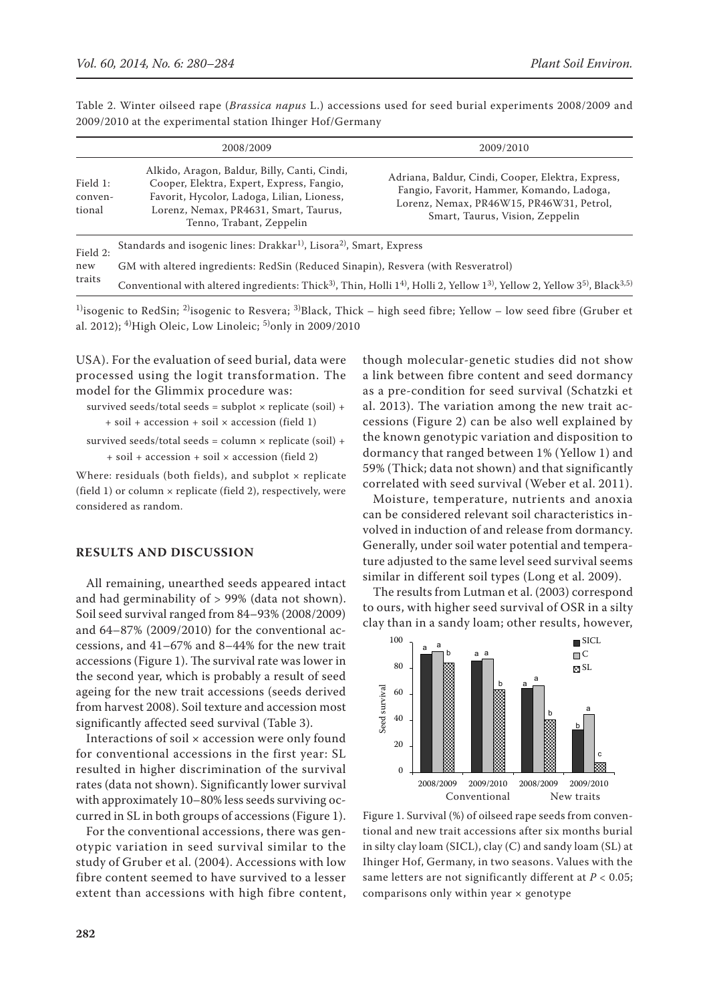Table 2. Winter oilseed rape (*Brassica napus* L.) accessions used for seed burial experiments 2008/2009 and 2009/2010 at the experimental station Ihinger Hof/Germany

|                               | 2008/2009                                                                                                                                                                                                    | 2009/2010                                                                                                                                                                     |  |  |  |  |  |
|-------------------------------|--------------------------------------------------------------------------------------------------------------------------------------------------------------------------------------------------------------|-------------------------------------------------------------------------------------------------------------------------------------------------------------------------------|--|--|--|--|--|
| Field 1:<br>conven-<br>tional | Alkido, Aragon, Baldur, Billy, Canti, Cindi,<br>Cooper, Elektra, Expert, Express, Fangio,<br>Favorit, Hycolor, Ladoga, Lilian, Lioness,<br>Lorenz, Nemax, PR4631, Smart, Taurus,<br>Tenno, Trabant, Zeppelin | Adriana, Baldur, Cindi, Cooper, Elektra, Express,<br>Fangio, Favorit, Hammer, Komando, Ladoga,<br>Lorenz, Nemax, PR46W15, PR46W31, Petrol,<br>Smart, Taurus, Vision, Zeppelin |  |  |  |  |  |
| Field 2:<br>new<br>traits     | Standards and isogenic lines: Drakkar <sup>1)</sup> , Lisora <sup>2)</sup> , Smart, Express                                                                                                                  |                                                                                                                                                                               |  |  |  |  |  |
|                               | GM with altered ingredients: RedSin (Reduced Sinapin), Resvera (with Resveratrol)                                                                                                                            |                                                                                                                                                                               |  |  |  |  |  |
|                               | Conventional with altered ingredients: Thick <sup>3</sup> ), Thin, Holli 1 <sup>4</sup> ), Holli 2, Yellow 1 <sup>3</sup> ), Yellow 2, Yellow 3 <sup>5</sup> ), Black <sup>3,5)</sup>                        |                                                                                                                                                                               |  |  |  |  |  |

<sup>1</sup>)isogenic to RedSin; <sup>2)</sup>isogenic to Resvera; <sup>3)</sup>Black, Thick – high seed fibre; Yellow – low seed fibre (Gruber et al. 2012); <sup>4)</sup>High Oleic, Low Linoleic; <sup>5)</sup>only in 2009/2010

USA). For the evaluation of seed burial, data were processed using the logit transformation. The model for the Glimmix procedure was:

survived seeds/total seeds = subplot  $\times$  replicate (soil) + + soil + accession + soil × accession (field 1)

survived seeds/total seeds = column  $\times$  replicate (soil) + + soil + accession + soil × accession (field 2)

Where: residuals (both fields), and subplot  $\times$  replicate (field 1) or column  $\times$  replicate (field 2), respectively, were considered as random.

### **RESULTS AND DISCUSSION**

All remaining, unearthed seeds appeared intact and had germinability of > 99% (data not shown). Soil seed survival ranged from 84–93% (2008/2009) and 64–87% (2009/2010) for the conventional accessions, and 41–67% and 8–44% for the new trait accessions (Figure 1). The survival rate was lower in the second year, which is probably a result of seed ageing for the new trait accessions (seeds derived from harvest 2008). Soil texture and accession most significantly affected seed survival (Table 3).

Interactions of soil × accession were only found for conventional accessions in the first year: SL resulted in higher discrimination of the survival rates (data not shown). Significantly lower survival with approximately 10–80% less seeds surviving occurred in SL in both groups of accessions (Figure 1).

For the conventional accessions, there was genotypic variation in seed survival similar to the study of Gruber et al. (2004). Accessions with low fibre content seemed to have survived to a lesser extent than accessions with high fibre content, though molecular-genetic studies did not show a link between fibre content and seed dormancy as a pre-condition for seed survival (Schatzki et al. 2013). The variation among the new trait accessions (Figure 2) can be also well explained by the known genotypic variation and disposition to dormancy that ranged between 1% (Yellow 1) and 59% (Thick; data not shown) and that significantly correlated with seed survival (Weber et al. 2011).

Moisture, temperature, nutrients and anoxia can be considered relevant soil characteristics involved in induction of and release from dormancy. Generally, under soil water potential and temperature adjusted to the same level seed survival seems similar in different soil types (Long et al. 2009).

The results from Lutman et al. (2003) correspond to ours, with higher seed survival of OSR in a silty clay than in a sandy loam; other results, however,



Figure 1. Survival (%) of oilseed rape seeds from conventional and new trait accessions after six months burial in silty clay loam (SICL), clay (C) and sandy loam (SL) at Ihinger Hof, Germany, in two seasons. Values with the same letters are not significantly different at *P* < 0.05; comparisons only within year  $\times$  genotype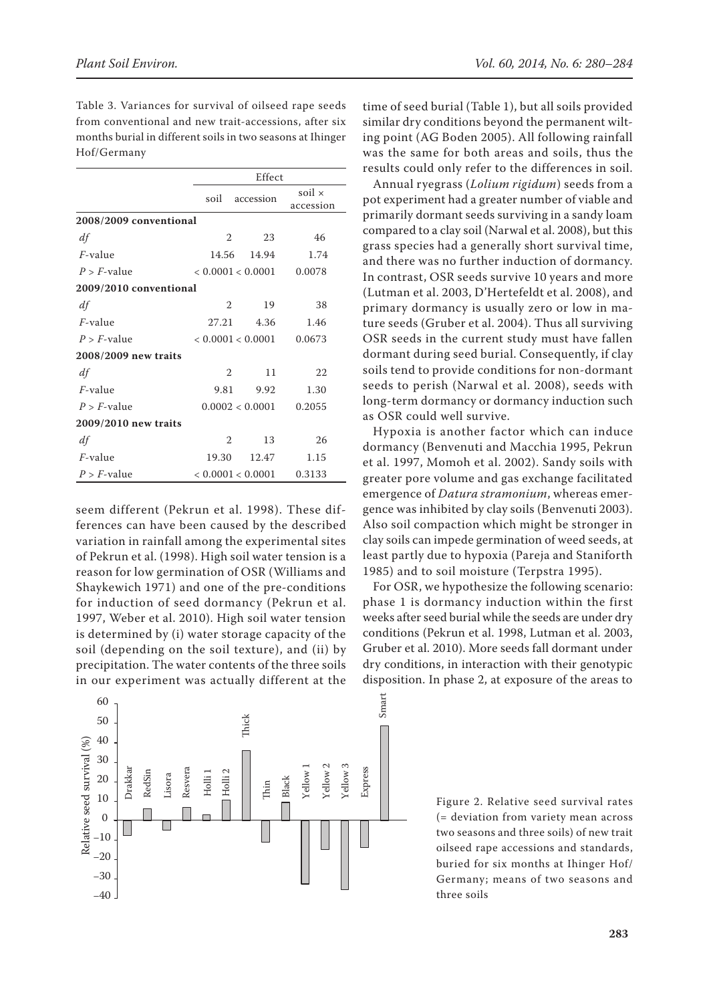Table 3. Variances for survival of oilseed rape seeds from conventional and new trait-accessions, after six months burial in different soils in two seasons at Ihinger Hof/Germany

|                        |                   | Effect            |                            |  |  |  |
|------------------------|-------------------|-------------------|----------------------------|--|--|--|
|                        | soil              | accession         | soil $\times$<br>accession |  |  |  |
| 2008/2009 conventional |                   |                   |                            |  |  |  |
| df                     | $\overline{2}$    | 23                | 46                         |  |  |  |
| $F$ -value             |                   | 14.56 14.94       | 1.74                       |  |  |  |
| $P > F$ -value         | < 0.0001 < 0.0001 |                   | 0.0078                     |  |  |  |
| 2009/2010 conventional |                   |                   |                            |  |  |  |
| df                     | $\overline{2}$    | 19                | 38                         |  |  |  |
| $F$ -value             | 27.21             | 4.36              | 1.46                       |  |  |  |
| $P > F$ -value         |                   | < 0.0001 < 0.0001 |                            |  |  |  |
| 2008/2009 new traits   |                   |                   |                            |  |  |  |
| df                     | $\mathfrak{D}$    | 11                | 22                         |  |  |  |
| $F$ -value             | 9.81              | 9.92              | 1.30                       |  |  |  |
| $P > F$ -value         |                   | 0.0002 < 0.0001   | 0.2055                     |  |  |  |
| 2009/2010 new traits   |                   |                   |                            |  |  |  |
| df                     | $\mathfrak{D}$    | 13                | 26                         |  |  |  |
| $F$ -value             | 19.30             | 12.47             | 1.15                       |  |  |  |
| $P > F$ -value         | < 0.0001 < 0.0001 |                   | 0.3133                     |  |  |  |

seem different (Pekrun et al. 1998). These differences can have been caused by the described variation in rainfall among the experimental sites of Pekrun et al. (1998). High soil water tension is a reason for low germination of OSR (Williams and Shaykewich 1971) and one of the pre-conditions for induction of seed dormancy (Pekrun et al. 1997, Weber et al. 2010). High soil water tension is determined by (i) water storage capacity of the soil (depending on the soil texture), and (ii) by precipitation. The water contents of the three soils in our experiment was actually different at the



time of seed burial (Table 1), but all soils provided similar dry conditions beyond the permanent wilting point (AG Boden 2005). All following rainfall was the same for both areas and soils, thus the results could only refer to the differences in soil.

Annual ryegrass (*Lolium rigidum*) seeds from a pot experiment had a greater number of viable and primarily dormant seeds surviving in a sandy loam compared to a clay soil (Narwal et al. 2008), but this grass species had a generally short survival time, and there was no further induction of dormancy. In contrast, OSR seeds survive 10 years and more (Lutman et al. 2003, D'Hertefeldt et al. 2008), and primary dormancy is usually zero or low in mature seeds (Gruber et al. 2004). Thus all surviving OSR seeds in the current study must have fallen dormant during seed burial. Consequently, if clay soils tend to provide conditions for non-dormant seeds to perish (Narwal et al. 2008), seeds with long-term dormancy or dormancy induction such as OSR could well survive.

Hypoxia is another factor which can induce dormancy (Benvenuti and Macchia 1995, Pekrun et al. 1997, Momoh et al. 2002). Sandy soils with greater pore volume and gas exchange facilitated emergence of *Datura stramonium*, whereas emergence was inhibited by clay soils (Benvenuti 2003). Also soil compaction which might be stronger in clay soils can impede germination of weed seeds, at least partly due to hypoxia (Pareja and Staniforth 1985) and to soil moisture (Terpstra 1995).

For OSR, we hypothesize the following scenario: phase 1 is dormancy induction within the first weeks after seed burial while the seeds are under dry conditions (Pekrun et al. 1998, Lutman et al. 2003, Gruber et al. 2010). More seeds fall dormant under dry conditions, in interaction with their genotypic disposition. In phase 2, at exposure of the areas to

Figure 2. Relative seed survival rates (= deviation from variety mean across two seasons and three soils) of new trait oilseed rape accessions and standards, buried for six months at Ihinger Hof/ Germany; means of two seasons and